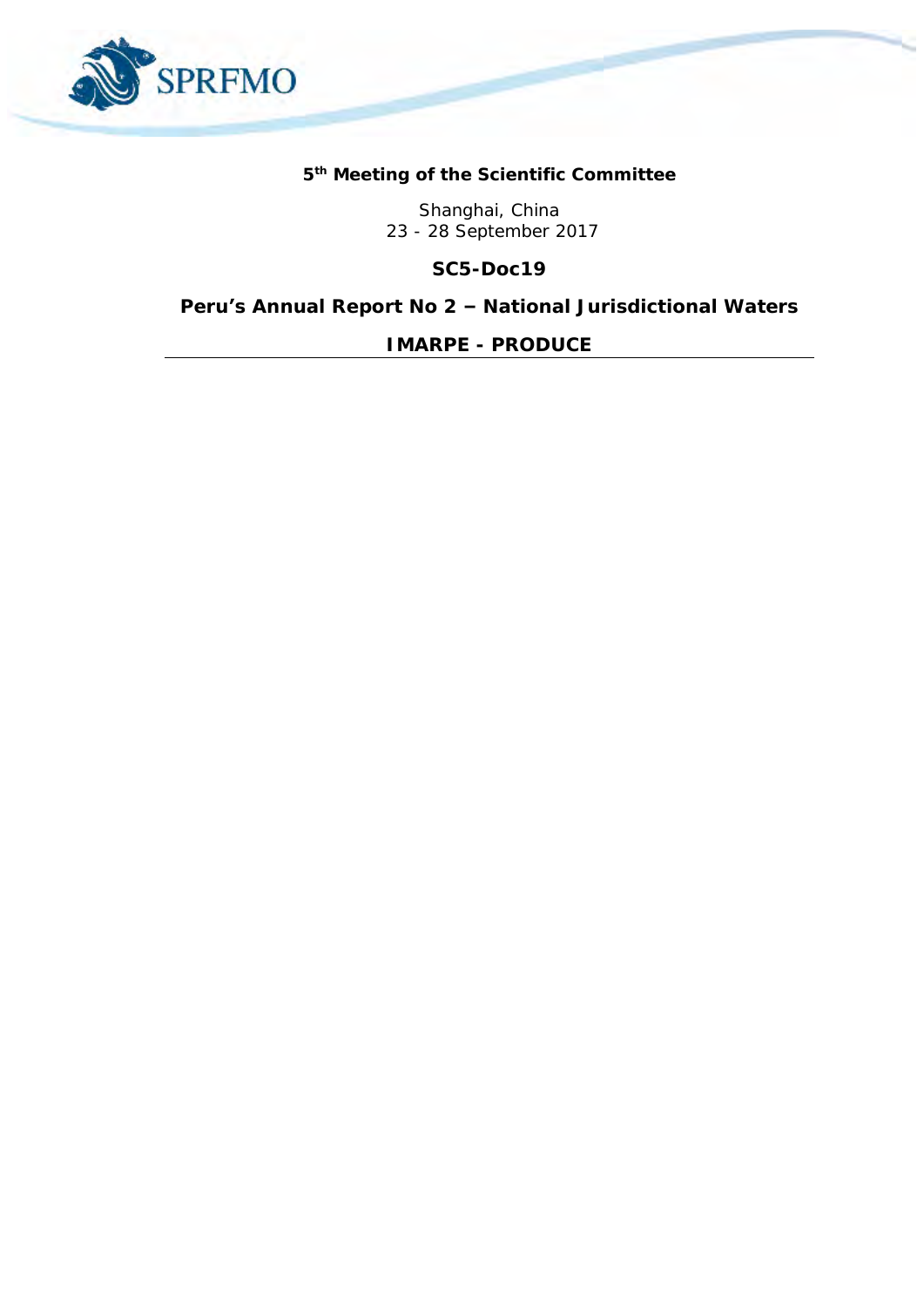

## **5 th Meeting of the Scientific Committee**

Shanghai, China 23 - 28 September 2017

**SC5-Doc19**

**Peru's Annual Report No 2 – National Jurisdictional Waters**

*IMARPE - PRODUCE*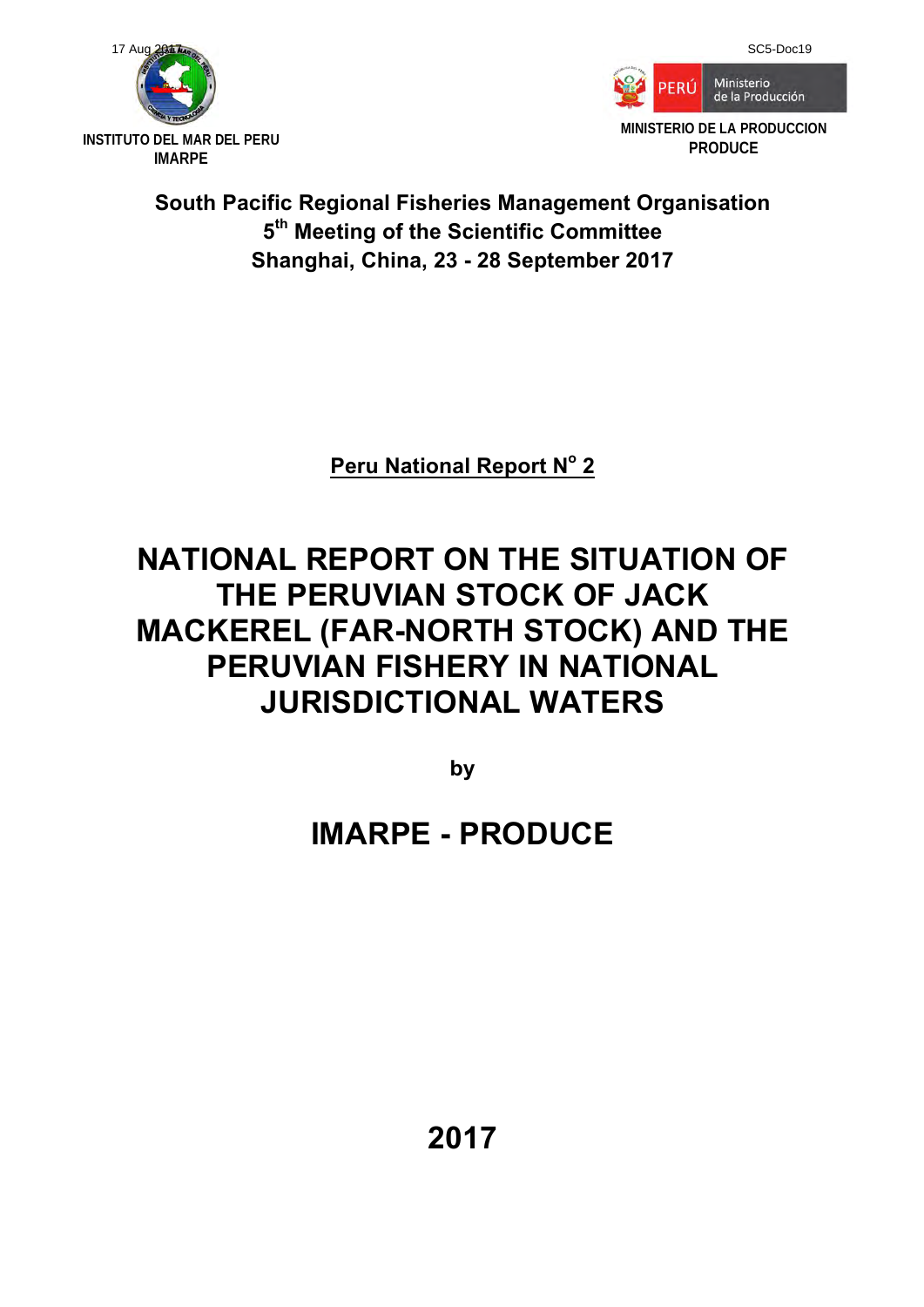



## **South Pacific Regional Fisheries Management Organisation 5th Meeting of the Scientific Committee Shanghai, China, 23 - 28 September 2017**

**Peru National Report N<sup>o</sup> 2** 

## **NATIONAL REPORT ON THE SITUATION OF THE PERUVIAN STOCK OF JACK MACKEREL (FAR-NORTH STOCK) AND THE PERUVIAN FISHERY IN NATIONAL JURISDICTIONAL WATERS**

**by** 

# **IMARPE - PRODUCE**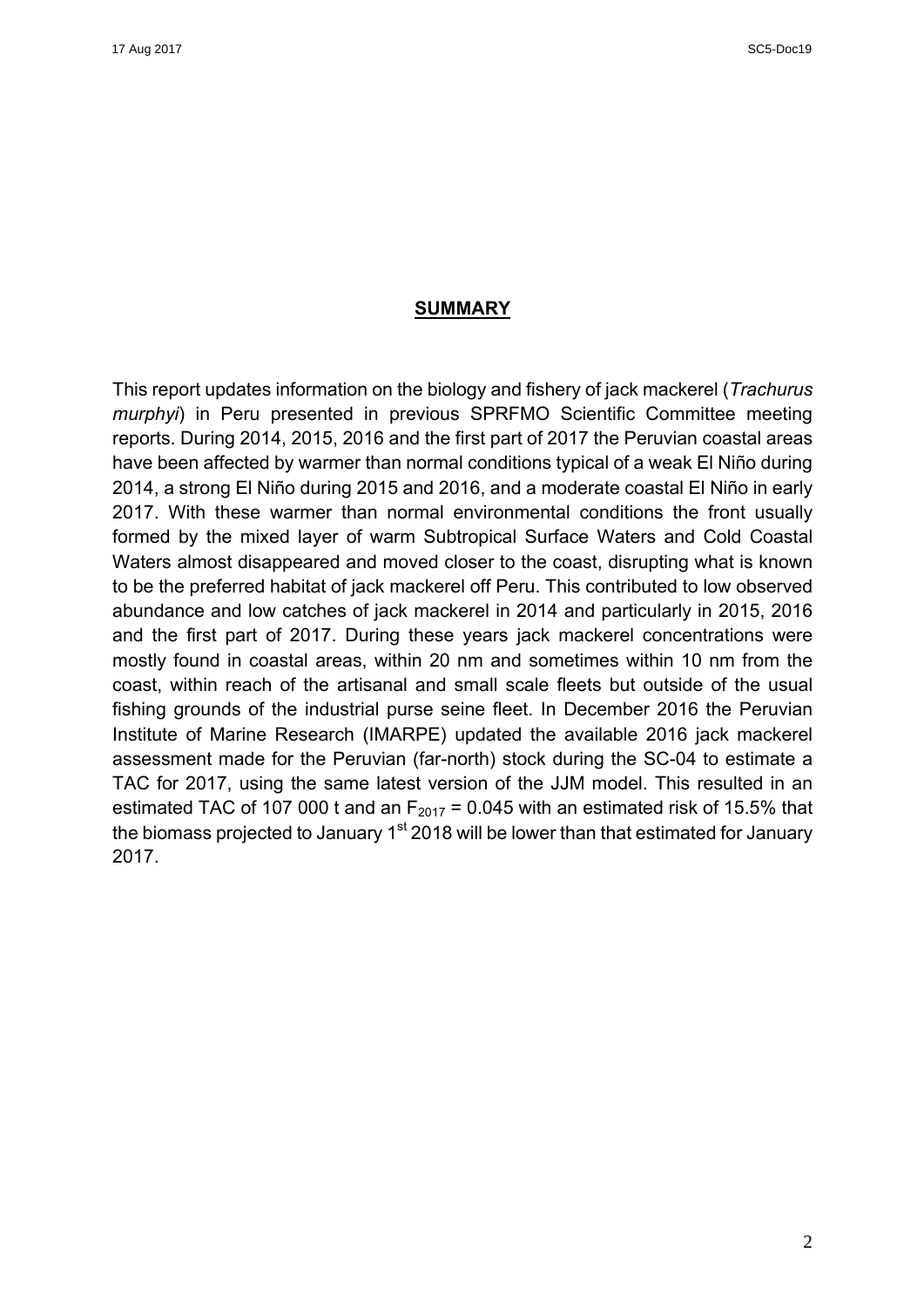#### **SUMMARY**

This report updates information on the biology and fishery of jack mackerel (*Trachurus murphyi*) in Peru presented in previous SPRFMO Scientific Committee meeting reports. During 2014, 2015, 2016 and the first part of 2017 the Peruvian coastal areas have been affected by warmer than normal conditions typical of a weak El Niño during 2014, a strong El Niño during 2015 and 2016, and a moderate coastal El Niño in early 2017. With these warmer than normal environmental conditions the front usually formed by the mixed layer of warm Subtropical Surface Waters and Cold Coastal Waters almost disappeared and moved closer to the coast, disrupting what is known to be the preferred habitat of jack mackerel off Peru. This contributed to low observed abundance and low catches of jack mackerel in 2014 and particularly in 2015, 2016 and the first part of 2017. During these years jack mackerel concentrations were mostly found in coastal areas, within 20 nm and sometimes within 10 nm from the coast, within reach of the artisanal and small scale fleets but outside of the usual fishing grounds of the industrial purse seine fleet. In December 2016 the Peruvian Institute of Marine Research (IMARPE) updated the available 2016 jack mackerel assessment made for the Peruvian (far-north) stock during the SC-04 to estimate a TAC for 2017, using the same latest version of the JJM model. This resulted in an estimated TAC of 107 000 t and an  $F_{2017} = 0.045$  with an estimated risk of 15.5% that the biomass projected to January  $1<sup>st</sup>$  2018 will be lower than that estimated for January 2017.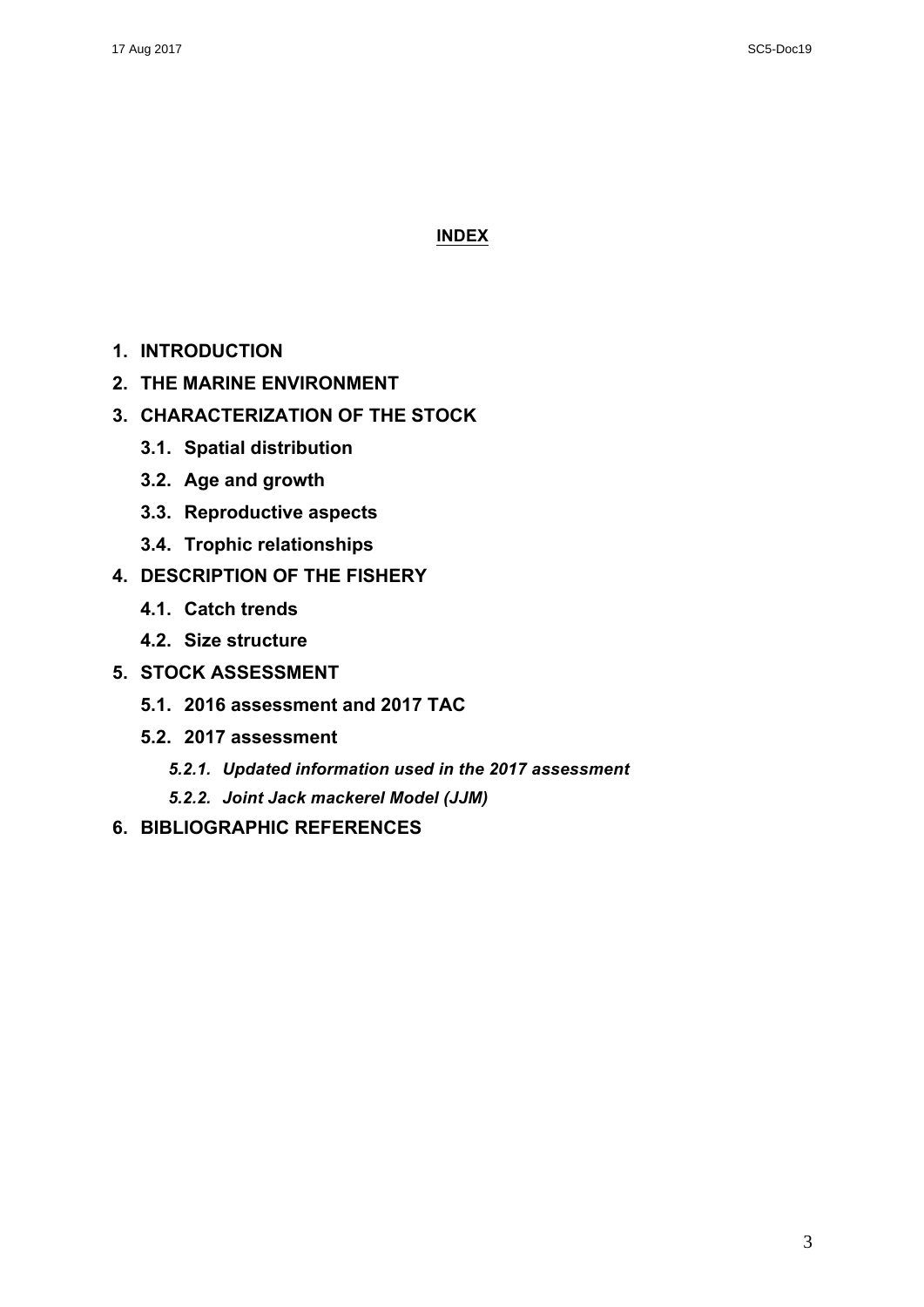### **INDEX**

- **1. INTRODUCTION**
- **2. THE MARINE ENVIRONMENT**
- **3. CHARACTERIZATION OF THE STOCK** 
	- **3.1. Spatial distribution**
	- **3.2. Age and growth**
	- **3.3. Reproductive aspects**
	- **3.4. Trophic relationships**
- **4. DESCRIPTION OF THE FISHERY** 
	- **4.1. Catch trends**
	- **4.2. Size structure**
- **5. STOCK ASSESSMENT** 
	- **5.1. 2016 assessment and 2017 TAC**
	- **5.2. 2017 assessment**
		- *5.2.1. Updated information used in the 2017 assessment*
		- *5.2.2. Joint Jack mackerel Model (JJM)*
- **6. BIBLIOGRAPHIC REFERENCES**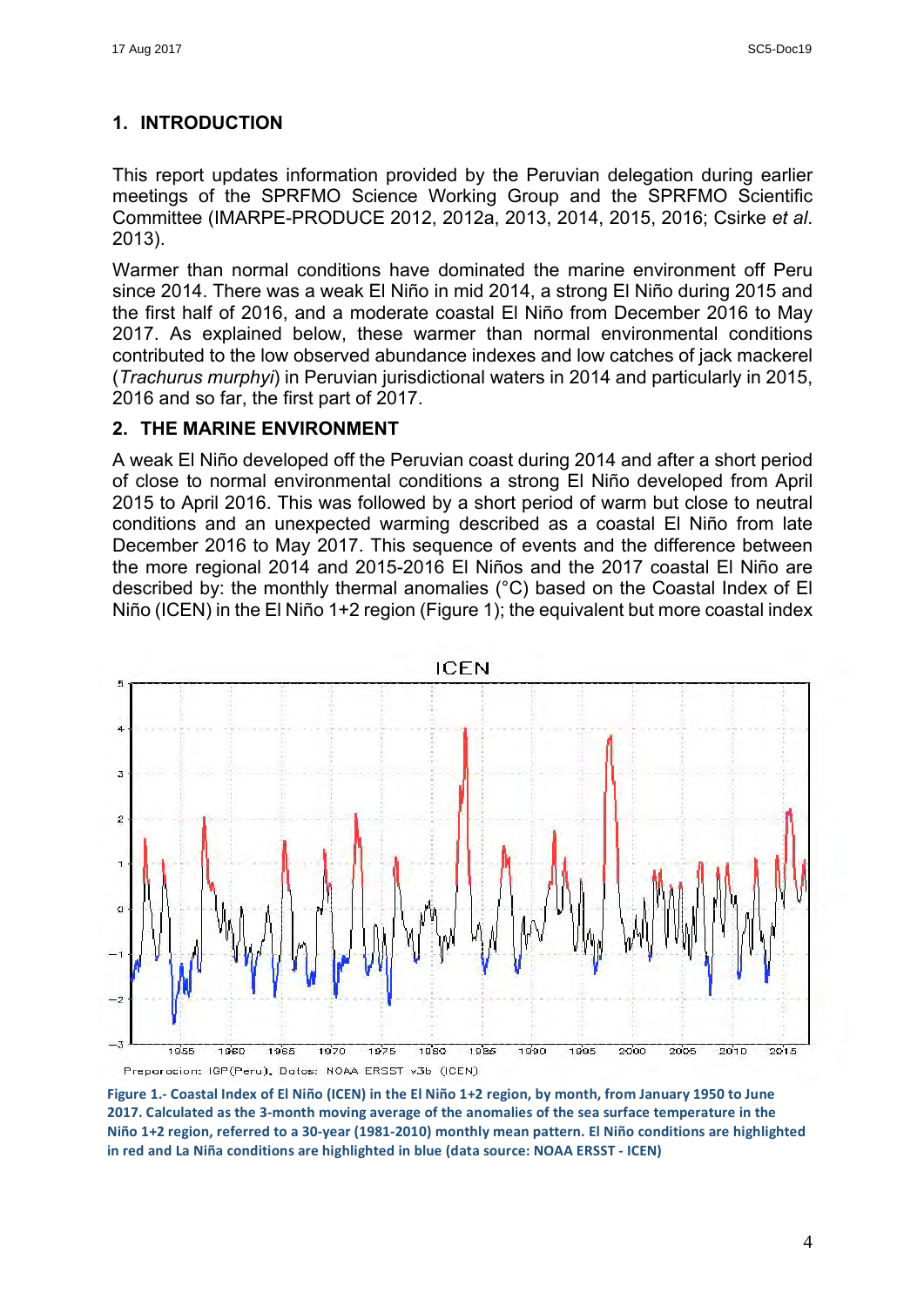## **1. INTRODUCTION**

This report updates information provided by the Peruvian delegation during earlier meetings of the SPRFMO Science Working Group and the SPRFMO Scientific Committee (IMARPE-PRODUCE 2012, 2012a, 2013, 2014, 2015, 2016; Csirke *et al*. 2013).

Warmer than normal conditions have dominated the marine environment off Peru since 2014. There was a weak El Niño in mid 2014, a strong El Niño during 2015 and the first half of 2016, and a moderate coastal El Niño from December 2016 to May 2017. As explained below, these warmer than normal environmental conditions contributed to the low observed abundance indexes and low catches of jack mackerel (*Trachurus murphyi*) in Peruvian jurisdictional waters in 2014 and particularly in 2015, 2016 and so far, the first part of 2017.

## **2. THE MARINE ENVIRONMENT**

A weak El Niño developed off the Peruvian coast during 2014 and after a short period of close to normal environmental conditions a strong El Niño developed from April 2015 to April 2016. This was followed by a short period of warm but close to neutral conditions and an unexpected warming described as a coastal El Niño from late December 2016 to May 2017. This sequence of events and the difference between the more regional 2014 and 2015-2016 El Niños and the 2017 coastal El Niño are described by: the monthly thermal anomalies (°C) based on the Coastal Index of El Niño (ICEN) in the El Niño 1+2 region (Figure 1); the equivalent but more coastal index



Figure 1.- Coastal Index of El Niño (ICEN) in the El Niño 1+2 region, by month, from January 1950 to June 2017. Calculated as the 3-month moving average of the anomalies of the sea surface temperature in the Niño 1+2 region, referred to a 30-year (1981-2010) monthly mean pattern. El Niño conditions are highlighted in red and La Niña conditions are highlighted in blue (data source: NOAA ERSST - ICEN)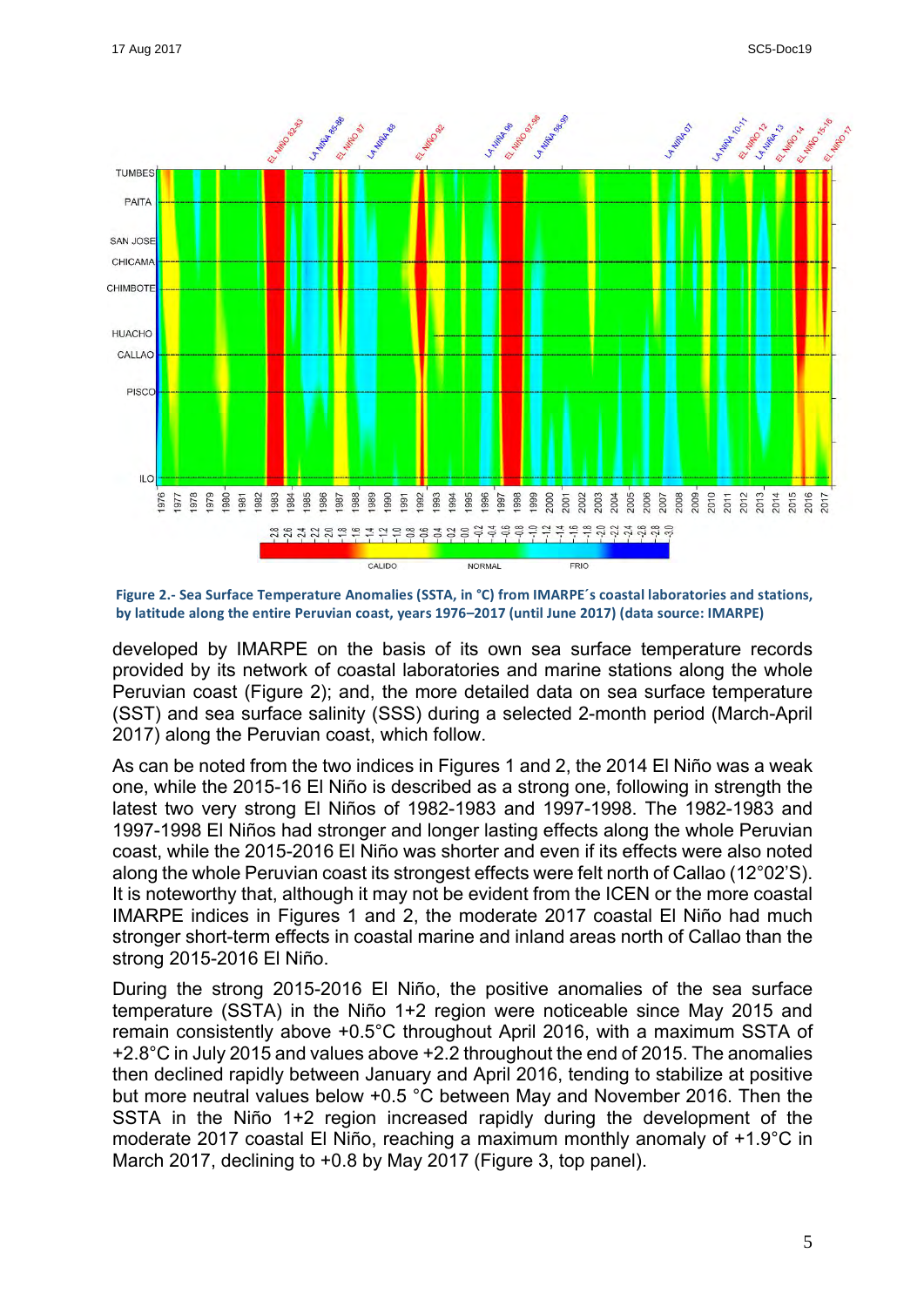

Figure 2.- Sea Surface Temperature Anomalies (SSTA, in °C) from IMARPE´s coastal laboratories and stations, by latitude along the entire Peruvian coast, years 1976–2017 (until June 2017) (data source: IMARPE)

developed by IMARPE on the basis of its own sea surface temperature records provided by its network of coastal laboratories and marine stations along the whole Peruvian coast (Figure 2); and, the more detailed data on sea surface temperature (SST) and sea surface salinity (SSS) during a selected 2-month period (March-April 2017) along the Peruvian coast, which follow.

As can be noted from the two indices in Figures 1 and 2, the 2014 El Niño was a weak one, while the 2015-16 El Niño is described as a strong one, following in strength the latest two very strong El Niños of 1982-1983 and 1997-1998. The 1982-1983 and 1997-1998 El Niños had stronger and longer lasting effects along the whole Peruvian coast, while the 2015-2016 El Niño was shorter and even if its effects were also noted along the whole Peruvian coast its strongest effects were felt north of Callao (12°02'S). It is noteworthy that, although it may not be evident from the ICEN or the more coastal IMARPE indices in Figures 1 and 2, the moderate 2017 coastal El Niño had much stronger short-term effects in coastal marine and inland areas north of Callao than the strong 2015-2016 El Niño.

During the strong 2015-2016 El Niño, the positive anomalies of the sea surface temperature (SSTA) in the Niño 1+2 region were noticeable since May 2015 and remain consistently above +0.5°C throughout April 2016, with a maximum SSTA of +2.8°C in July 2015 and values above +2.2 throughout the end of 2015. The anomalies then declined rapidly between January and April 2016, tending to stabilize at positive but more neutral values below +0.5 °C between May and November 2016. Then the SSTA in the Niño 1+2 region increased rapidly during the development of the moderate 2017 coastal El Niño, reaching a maximum monthly anomaly of +1.9°C in March 2017, declining to +0.8 by May 2017 (Figure 3, top panel).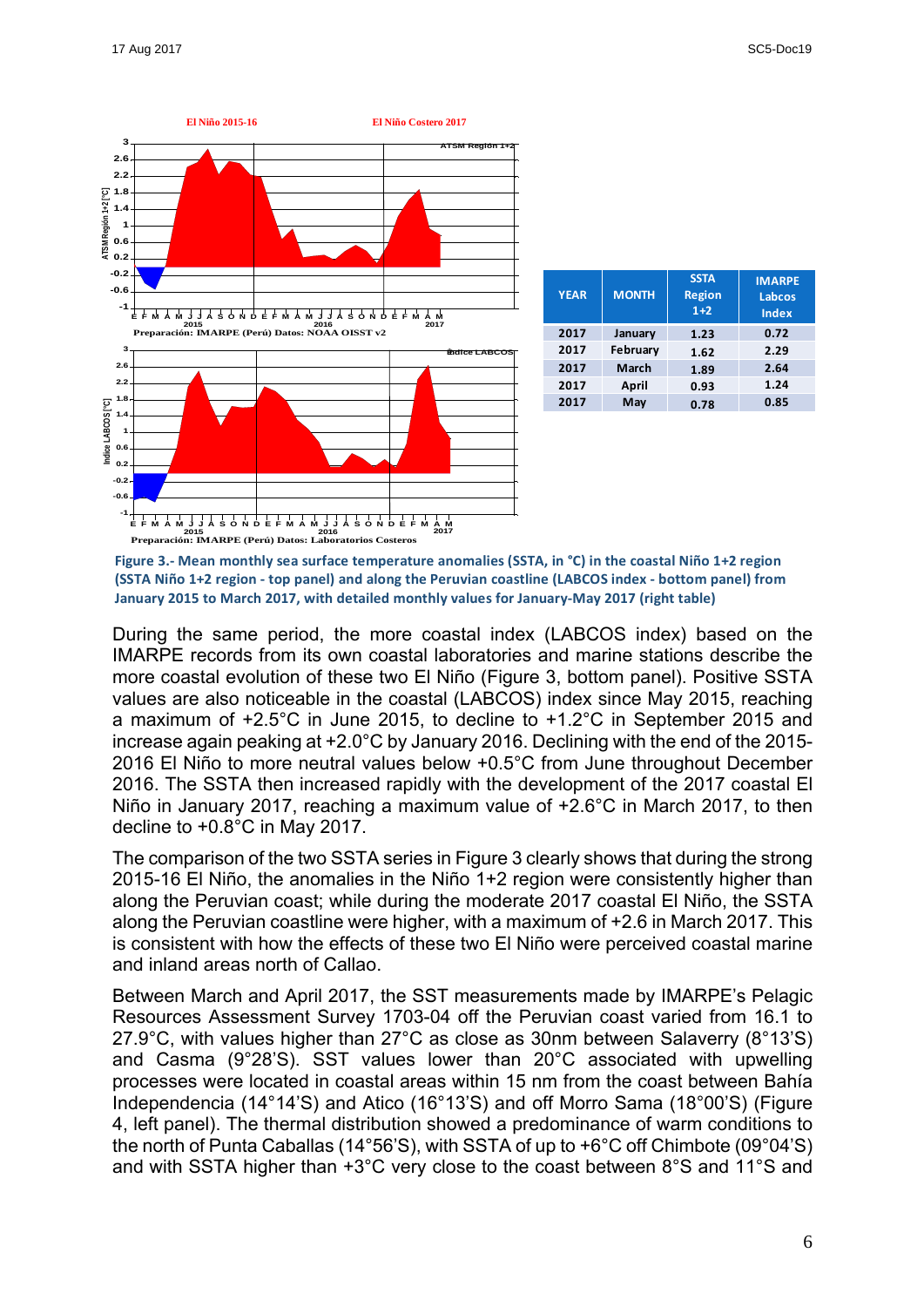

| <b>YEAR</b> | <b>MONTH</b> | <b>SSTA</b><br><b>Region</b><br>$1+2$ | <b>IMARPE</b><br>Labcos<br><b>Index</b> |
|-------------|--------------|---------------------------------------|-----------------------------------------|
| 2017        | January      | 1.23                                  | 0.72                                    |
| 2017        | February     | 1.62                                  | 2.29                                    |
| 2017        | <b>March</b> | 1.89                                  | 2.64                                    |
| 2017        | April        | 0.93                                  | 1.24                                    |
| 2017        | May          | 0.78                                  | 0.85                                    |

Figure 3.- Mean monthly sea surface temperature anomalies (SSTA, in °C) in the coastal Niño 1+2 region **(SSTA Niño 1+2 region - top panel) and along the Peruvian coastline (LABCOS index - bottom panel) from** January 2015 to March 2017, with detailed monthly values for January-May 2017 (right table)

During the same period, the more coastal index (LABCOS index) based on the IMARPE records from its own coastal laboratories and marine stations describe the more coastal evolution of these two El Niño (Figure 3, bottom panel). Positive SSTA values are also noticeable in the coastal (LABCOS) index since May 2015, reaching a maximum of +2.5°C in June 2015, to decline to +1.2°C in September 2015 and increase again peaking at +2.0°C by January 2016. Declining with the end of the 2015- 2016 El Niño to more neutral values below +0.5°C from June throughout December 2016. The SSTA then increased rapidly with the development of the 2017 coastal El Niño in January 2017, reaching a maximum value of +2.6°C in March 2017, to then decline to +0.8°C in May 2017.

The comparison of the two SSTA series in Figure 3 clearly shows that during the strong 2015-16 El Niño, the anomalies in the Niño 1+2 region were consistently higher than along the Peruvian coast; while during the moderate 2017 coastal El Niño, the SSTA along the Peruvian coastline were higher, with a maximum of +2.6 in March 2017. This is consistent with how the effects of these two El Niño were perceived coastal marine and inland areas north of Callao.

Between March and April 2017, the SST measurements made by IMARPE's Pelagic Resources Assessment Survey 1703-04 off the Peruvian coast varied from 16.1 to 27.9°C, with values higher than 27°C as close as 30nm between Salaverry (8°13'S) and Casma (9°28'S). SST values lower than 20°C associated with upwelling processes were located in coastal areas within 15 nm from the coast between Bahía Independencia (14°14'S) and Atico (16°13'S) and off Morro Sama (18°00'S) (Figure 4, left panel). The thermal distribution showed a predominance of warm conditions to the north of Punta Caballas (14°56'S), with SSTA of up to +6°C off Chimbote (09°04'S) and with SSTA higher than +3°C very close to the coast between 8°S and 11°S and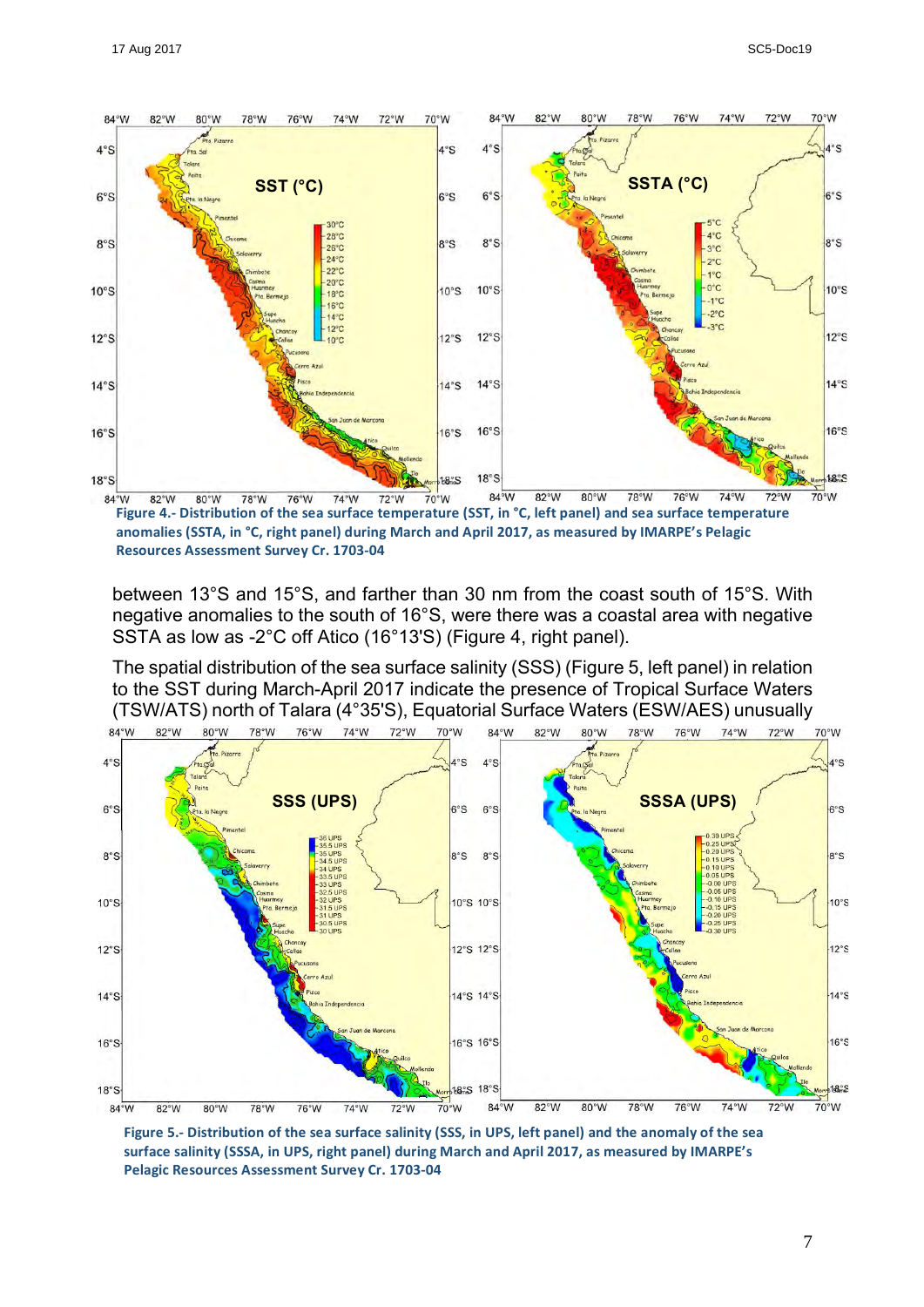

Figure 4.- Distribution of the sea surface temperature (SST, in °C, left panel) and sea surface temperature anomalies (SSTA, in °C, right panel) during March and April 2017, as measured by IMARPE's Pelagic **Resources Assessment Survey Cr. 1703-04**

between 13°S and 15°S, and farther than 30 nm from the coast south of 15°S. With negative anomalies to the south of 16°S, were there was a coastal area with negative SSTA as low as -2°C off Atico (16°13'S) (Figure 4, right panel).

The spatial distribution of the sea surface salinity (SSS) (Figure 5, left panel) in relation to the SST during March-April 2017 indicate the presence of Tropical Surface Waters (TSW/ATS) north of Talara (4°35'S), Equatorial Surface Waters (ESW/AES) unusually



Figure 5.- Distribution of the sea surface salinity (SSS, in UPS, left panel) and the anomaly of the sea surface salinity (SSSA, in UPS, right panel) during March and April 2017, as measured by IMARPE's **Pelagic Resources Assessment Survey Cr. 1703-04**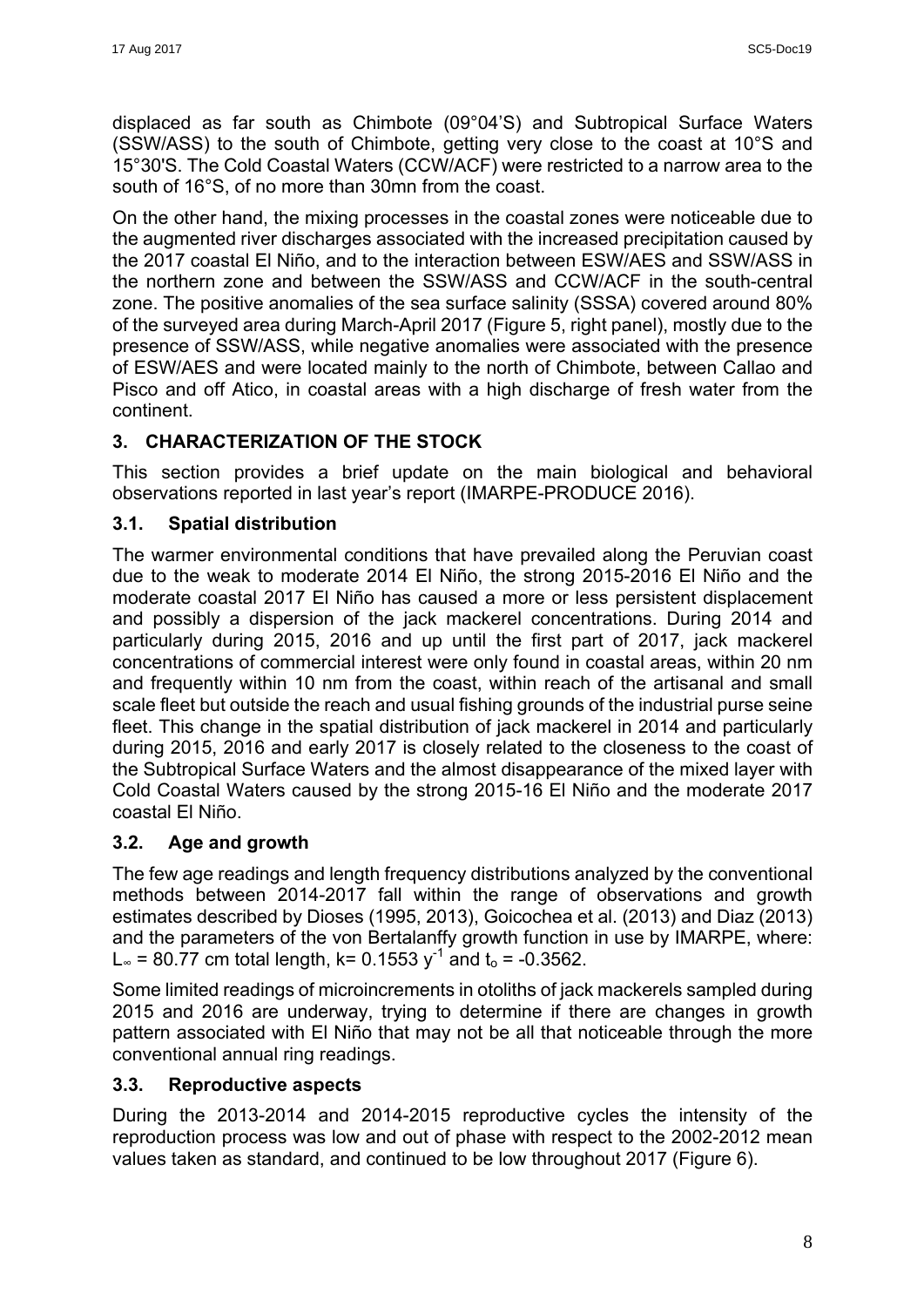displaced as far south as Chimbote (09°04'S) and Subtropical Surface Waters (SSW/ASS) to the south of Chimbote, getting very close to the coast at 10°S and 15°30'S. The Cold Coastal Waters (CCW/ACF) were restricted to a narrow area to the south of 16°S, of no more than 30mn from the coast.

On the other hand, the mixing processes in the coastal zones were noticeable due to the augmented river discharges associated with the increased precipitation caused by the 2017 coastal El Niño, and to the interaction between ESW/AES and SSW/ASS in the northern zone and between the SSW/ASS and CCW/ACF in the south-central zone. The positive anomalies of the sea surface salinity (SSSA) covered around 80% of the surveyed area during March-April 2017 (Figure 5, right panel), mostly due to the presence of SSW/ASS, while negative anomalies were associated with the presence of ESW/AES and were located mainly to the north of Chimbote, between Callao and Pisco and off Atico, in coastal areas with a high discharge of fresh water from the continent.

## **3. CHARACTERIZATION OF THE STOCK**

This section provides a brief update on the main biological and behavioral observations reported in last year's report (IMARPE-PRODUCE 2016).

## **3.1. Spatial distribution**

The warmer environmental conditions that have prevailed along the Peruvian coast due to the weak to moderate 2014 El Niño, the strong 2015-2016 El Niño and the moderate coastal 2017 El Niño has caused a more or less persistent displacement and possibly a dispersion of the jack mackerel concentrations. During 2014 and particularly during 2015, 2016 and up until the first part of 2017, jack mackerel concentrations of commercial interest were only found in coastal areas, within 20 nm and frequently within 10 nm from the coast, within reach of the artisanal and small scale fleet but outside the reach and usual fishing grounds of the industrial purse seine fleet. This change in the spatial distribution of jack mackerel in 2014 and particularly during 2015, 2016 and early 2017 is closely related to the closeness to the coast of the Subtropical Surface Waters and the almost disappearance of the mixed layer with Cold Coastal Waters caused by the strong 2015-16 El Niño and the moderate 2017 coastal El Niño.

## **3.2. Age and growth**

The few age readings and length frequency distributions analyzed by the conventional methods between 2014-2017 fall within the range of observations and growth estimates described by Dioses (1995, 2013), Goicochea et al. (2013) and Diaz (2013) and the parameters of the von Bertalanffy growth function in use by IMARPE, where: L∞ = 80.77 cm total length, k= 0.1553  $v^{-1}$  and t<sub>0</sub> = -0.3562.

Some limited readings of microincrements in otoliths of jack mackerels sampled during 2015 and 2016 are underway, trying to determine if there are changes in growth pattern associated with El Niño that may not be all that noticeable through the more conventional annual ring readings.

## **3.3. Reproductive aspects**

During the 2013-2014 and 2014-2015 reproductive cycles the intensity of the reproduction process was low and out of phase with respect to the 2002-2012 mean values taken as standard, and continued to be low throughout 2017 (Figure 6).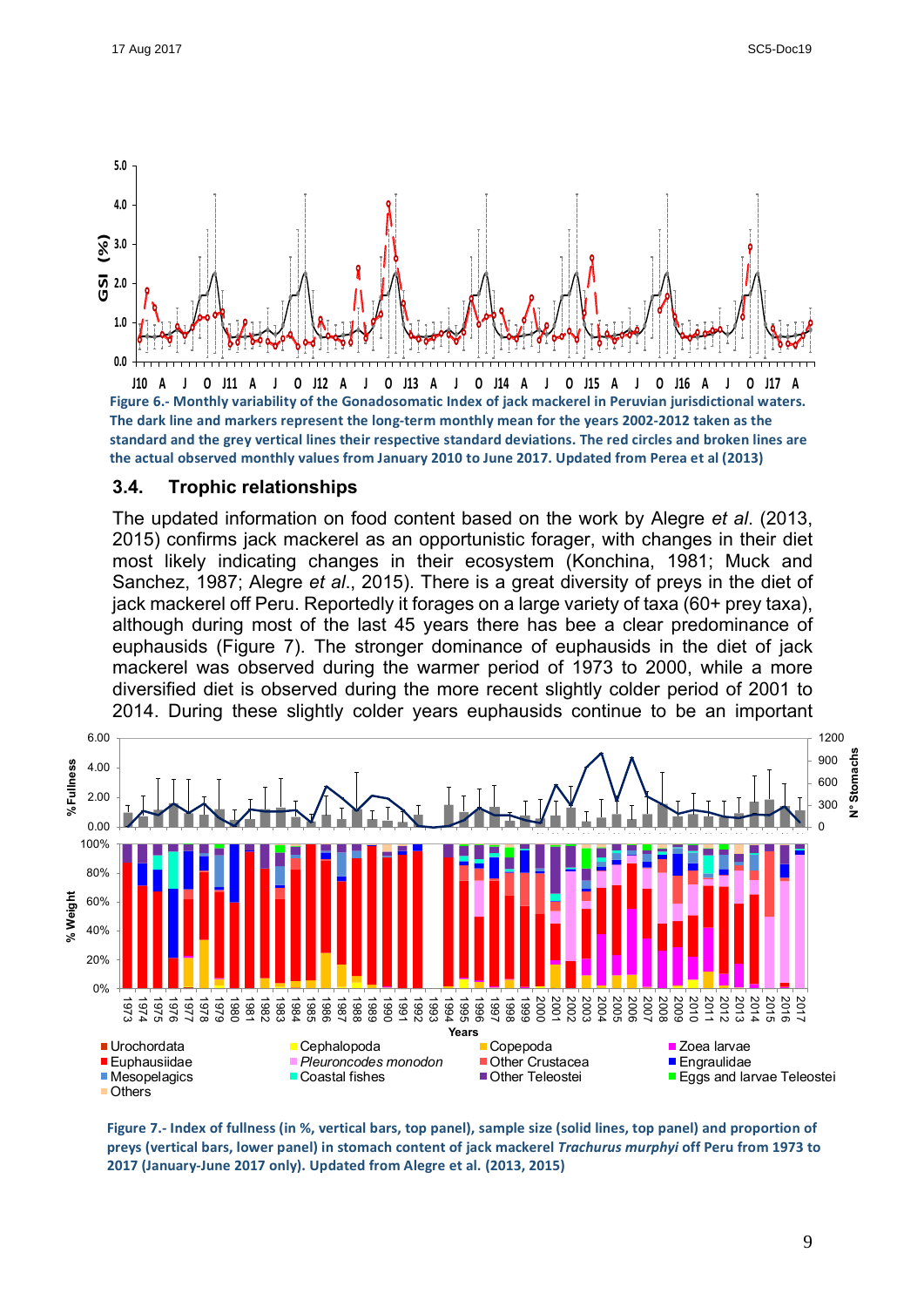

A לונס נA 16 כולם להם נולם הם 113 כולם נולם נולם נולם מנו Figure 6.- Monthly variability of the Gonadosomatic Index of jack mackerel in Peruvian jurisdictional waters. The dark line and markers represent the long-term monthly mean for the years 2002-2012 taken as the standard and the grey vertical lines their respective standard deviations. The red circles and broken lines are the actual observed monthly values from January 2010 to June 2017. Updated from Perea et al (2013)

#### **3.4. Trophic relationships**

The updated information on food content based on the work by Alegre *et al*. (2013, 2015) confirms jack mackerel as an opportunistic forager, with changes in their diet most likely indicating changes in their ecosystem (Konchina, 1981; Muck and Sanchez, 1987; Alegre *et al*., 2015). There is a great diversity of preys in the diet of jack mackerel off Peru. Reportedly it forages on a large variety of taxa (60+ prey taxa), although during most of the last 45 years there has bee a clear predominance of euphausids (Figure 7). The stronger dominance of euphausids in the diet of jack mackerel was observed during the warmer period of 1973 to 2000, while a more diversified diet is observed during the more recent slightly colder period of 2001 to 2014. During these slightly colder years euphausids continue to be an important



Figure 7.- Index of fullness (in %, vertical bars, top panel), sample size (solid lines, top panel) and proportion of preys (vertical bars, lower panel) in stomach content of jack mackerel *Trachurus murphyi* off Peru from 1973 to **2017 (January-June 2017 only). Updated from Alegre et al. (2013, 2015)**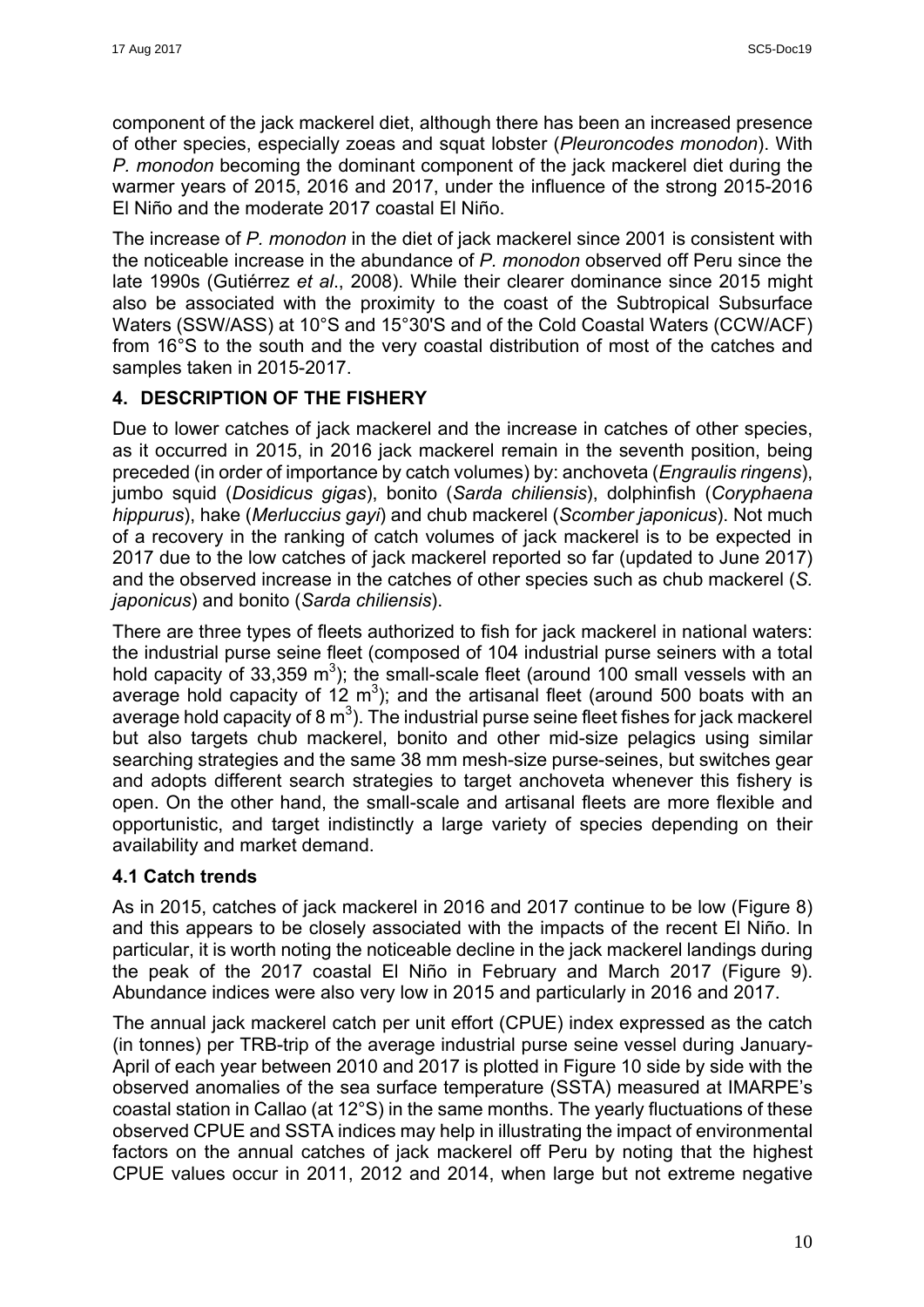component of the jack mackerel diet, although there has been an increased presence of other species, especially zoeas and squat lobster (*Pleuroncodes monodon*). With *P. monodon* becoming the dominant component of the jack mackerel diet during the warmer years of 2015, 2016 and 2017, under the influence of the strong 2015-2016 El Niño and the moderate 2017 coastal El Niño.

The increase of *P. monodon* in the diet of jack mackerel since 2001 is consistent with the noticeable increase in the abundance of *P. monodon* observed off Peru since the late 1990s (Gutiérrez *et al*., 2008). While their clearer dominance since 2015 might also be associated with the proximity to the coast of the Subtropical Subsurface Waters (SSW/ASS) at 10°S and 15°30'S and of the Cold Coastal Waters (CCW/ACF) from 16°S to the south and the very coastal distribution of most of the catches and samples taken in 2015-2017.

## **4. DESCRIPTION OF THE FISHERY**

Due to lower catches of jack mackerel and the increase in catches of other species, as it occurred in 2015, in 2016 jack mackerel remain in the seventh position, being preceded (in order of importance by catch volumes) by: anchoveta (*Engraulis ringens*), jumbo squid (*Dosidicus gigas*), bonito (*Sarda chiliensis*), dolphinfish (*Coryphaena hippurus*), hake (*Merluccius gayi*) and chub mackerel (*Scomber japonicus*). Not much of a recovery in the ranking of catch volumes of jack mackerel is to be expected in 2017 due to the low catches of jack mackerel reported so far (updated to June 2017) and the observed increase in the catches of other species such as chub mackerel (*S. japonicus*) and bonito (*Sarda chiliensis*).

There are three types of fleets authorized to fish for jack mackerel in national waters: the industrial purse seine fleet (composed of 104 industrial purse seiners with a total hold capacity of 33,359 m<sup>3</sup>); the small-scale fleet (around 100 small vessels with an average hold capacity of  $12 \text{ m}^3$ ); and the artisanal fleet (around 500 boats with an average hold capacity of 8  $m^3$ ). The industrial purse seine fleet fishes for jack mackerel but also targets chub mackerel, bonito and other mid-size pelagics using similar searching strategies and the same 38 mm mesh-size purse-seines, but switches gear and adopts different search strategies to target anchoveta whenever this fishery is open. On the other hand, the small-scale and artisanal fleets are more flexible and opportunistic, and target indistinctly a large variety of species depending on their availability and market demand.

## **4.1 Catch trends**

As in 2015, catches of jack mackerel in 2016 and 2017 continue to be low (Figure 8) and this appears to be closely associated with the impacts of the recent El Niño. In particular, it is worth noting the noticeable decline in the jack mackerel landings during the peak of the 2017 coastal El Niño in February and March 2017 (Figure 9). Abundance indices were also very low in 2015 and particularly in 2016 and 2017.

The annual jack mackerel catch per unit effort (CPUE) index expressed as the catch (in tonnes) per TRB-trip of the average industrial purse seine vessel during January-April of each year between 2010 and 2017 is plotted in Figure 10 side by side with the observed anomalies of the sea surface temperature (SSTA) measured at IMARPE's coastal station in Callao (at 12°S) in the same months. The yearly fluctuations of these observed CPUE and SSTA indices may help in illustrating the impact of environmental factors on the annual catches of jack mackerel off Peru by noting that the highest CPUE values occur in 2011, 2012 and 2014, when large but not extreme negative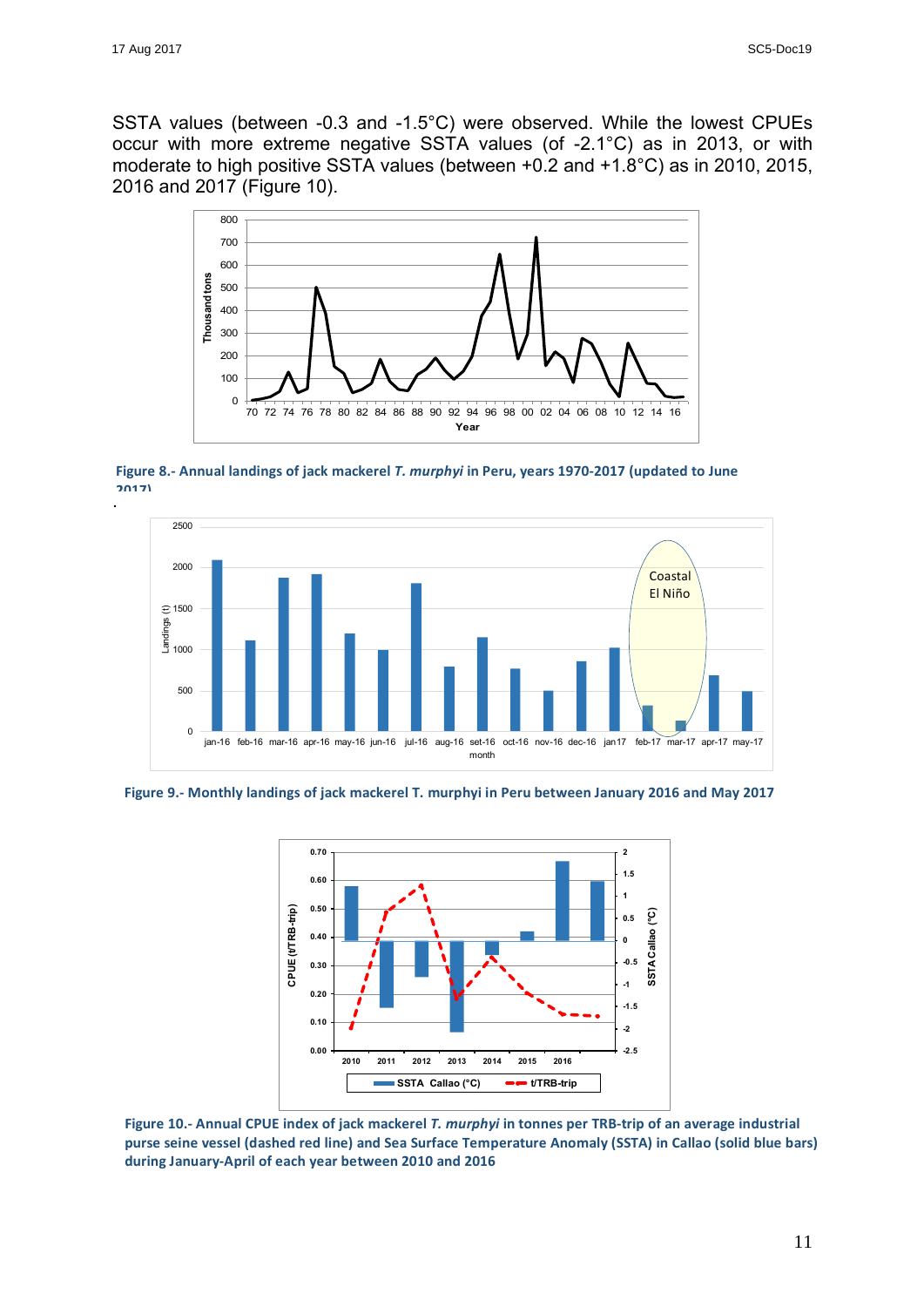SSTA values (between -0.3 and -1.5°C) were observed. While the lowest CPUEs occur with more extreme negative SSTA values (of -2.1°C) as in 2013, or with moderate to high positive SSTA values (between +0.2 and +1.8°C) as in 2010, 2015, 2016 and 2017 (Figure 10).



. Figure 8.- Annual landings of jack mackerel *T. murphyi* in Peru, years 1970-2017 (updated to June **2017)** 



Figure 9.- Monthly landings of jack mackerel T. murphyi in Peru between January 2016 and May 2017



Figure 10.- Annual CPUE index of jack mackerel *T. murphyi* in tonnes per TRB-trip of an average industrial purse seine vessel (dashed red line) and Sea Surface Temperature Anomaly (SSTA) in Callao (solid blue bars) **during January-April of each year between 2010 and 2016**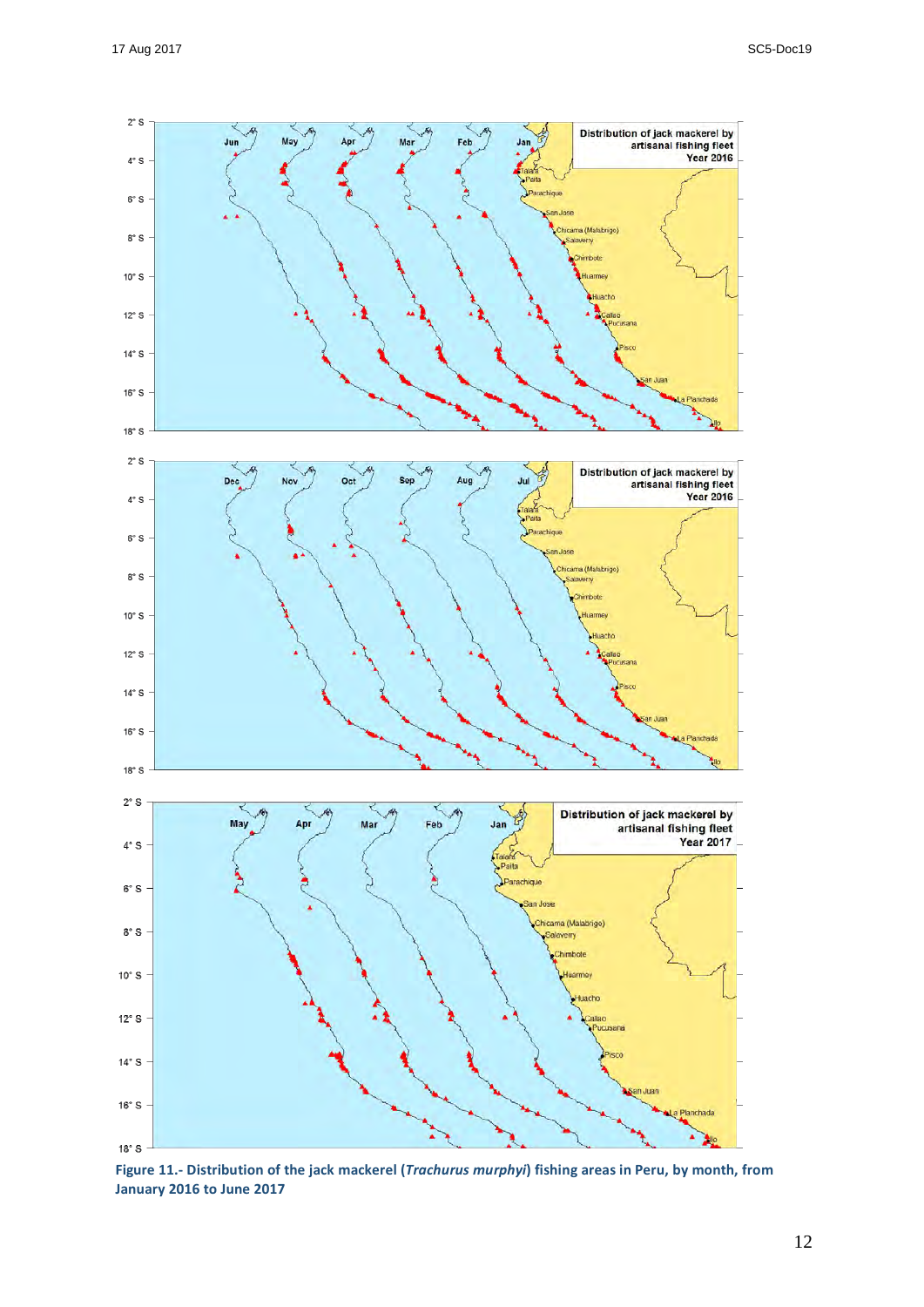

Figure 11.- Distribution of the jack mackerel (*Trachurus murphyi*) fishing areas in Peru, by month, from **January 2016 to June 2017**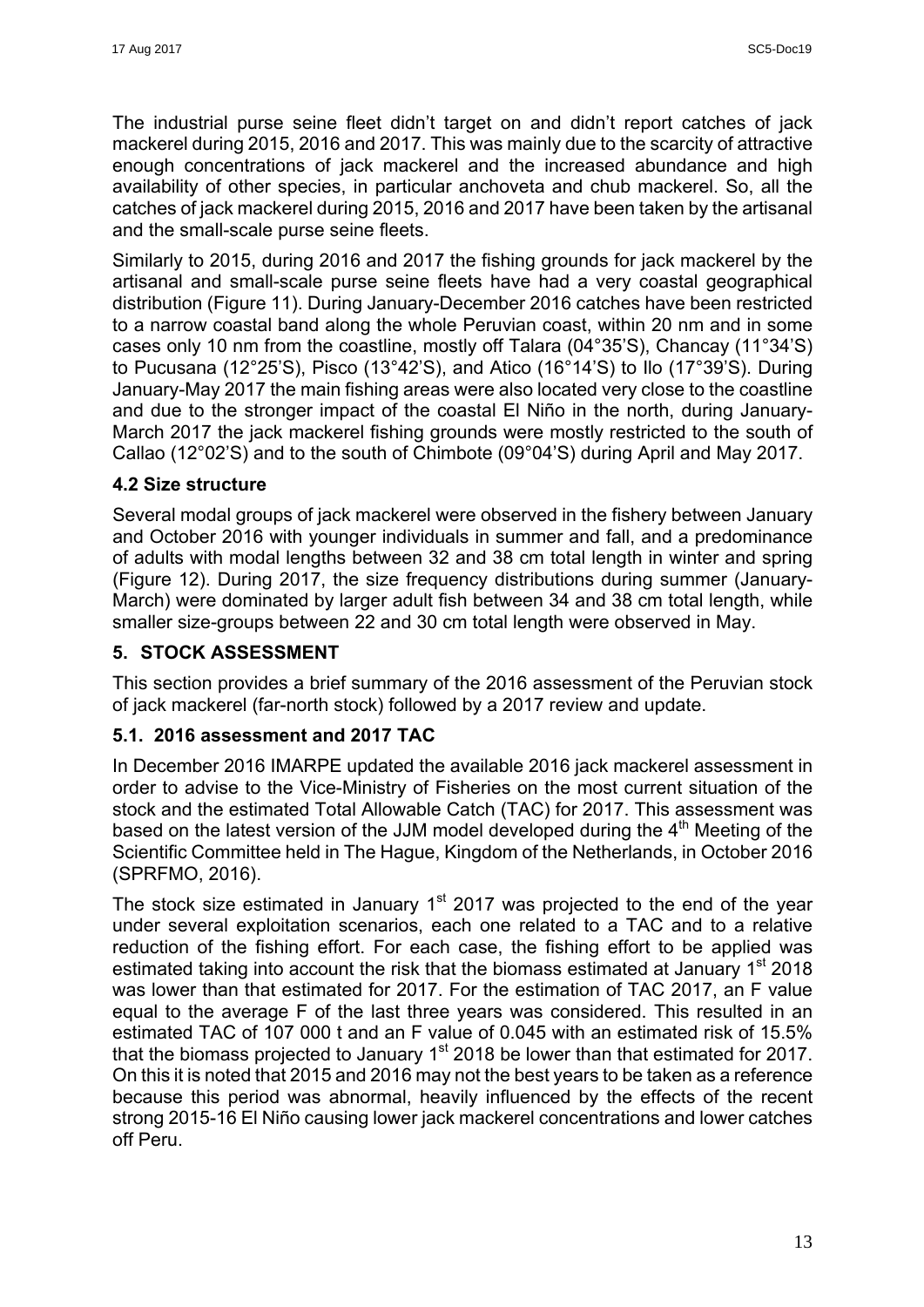The industrial purse seine fleet didn't target on and didn't report catches of jack mackerel during 2015, 2016 and 2017. This was mainly due to the scarcity of attractive enough concentrations of jack mackerel and the increased abundance and high availability of other species, in particular anchoveta and chub mackerel. So, all the catches of jack mackerel during 2015, 2016 and 2017 have been taken by the artisanal and the small-scale purse seine fleets.

Similarly to 2015, during 2016 and 2017 the fishing grounds for jack mackerel by the artisanal and small-scale purse seine fleets have had a very coastal geographical distribution (Figure 11). During January-December 2016 catches have been restricted to a narrow coastal band along the whole Peruvian coast, within 20 nm and in some cases only 10 nm from the coastline, mostly off Talara (04°35'S), Chancay (11°34'S) to Pucusana (12°25'S), Pisco (13°42'S), and Atico (16°14'S) to Ilo (17°39'S). During January-May 2017 the main fishing areas were also located very close to the coastline and due to the stronger impact of the coastal El Niño in the north, during January-March 2017 the jack mackerel fishing grounds were mostly restricted to the south of Callao (12°02'S) and to the south of Chimbote (09°04'S) during April and May 2017.

## **4.2 Size structure**

Several modal groups of jack mackerel were observed in the fishery between January and October 2016 with younger individuals in summer and fall, and a predominance of adults with modal lengths between 32 and 38 cm total length in winter and spring (Figure 12). During 2017, the size frequency distributions during summer (January-March) were dominated by larger adult fish between 34 and 38 cm total length, while smaller size-groups between 22 and 30 cm total length were observed in May.

## **5. STOCK ASSESSMENT**

This section provides a brief summary of the 2016 assessment of the Peruvian stock of jack mackerel (far-north stock) followed by a 2017 review and update.

## **5.1. 2016 assessment and 2017 TAC**

In December 2016 IMARPE updated the available 2016 jack mackerel assessment in order to advise to the Vice-Ministry of Fisheries on the most current situation of the stock and the estimated Total Allowable Catch (TAC) for 2017. This assessment was based on the latest version of the JJM model developed during the  $4<sup>th</sup>$  Meeting of the Scientific Committee held in The Hague, Kingdom of the Netherlands, in October 2016 (SPRFMO, 2016).

The stock size estimated in January  $1<sup>st</sup>$  2017 was projected to the end of the year under several exploitation scenarios, each one related to a TAC and to a relative reduction of the fishing effort. For each case, the fishing effort to be applied was estimated taking into account the risk that the biomass estimated at January 1<sup>st</sup> 2018 was lower than that estimated for 2017. For the estimation of TAC 2017, an F value equal to the average F of the last three years was considered. This resulted in an estimated TAC of 107 000 t and an F value of 0.045 with an estimated risk of 15.5% that the biomass projected to January  $1<sup>st</sup>$  2018 be lower than that estimated for 2017. On this it is noted that 2015 and 2016 may not the best years to be taken as a reference because this period was abnormal, heavily influenced by the effects of the recent strong 2015-16 El Niño causing lower jack mackerel concentrations and lower catches off Peru.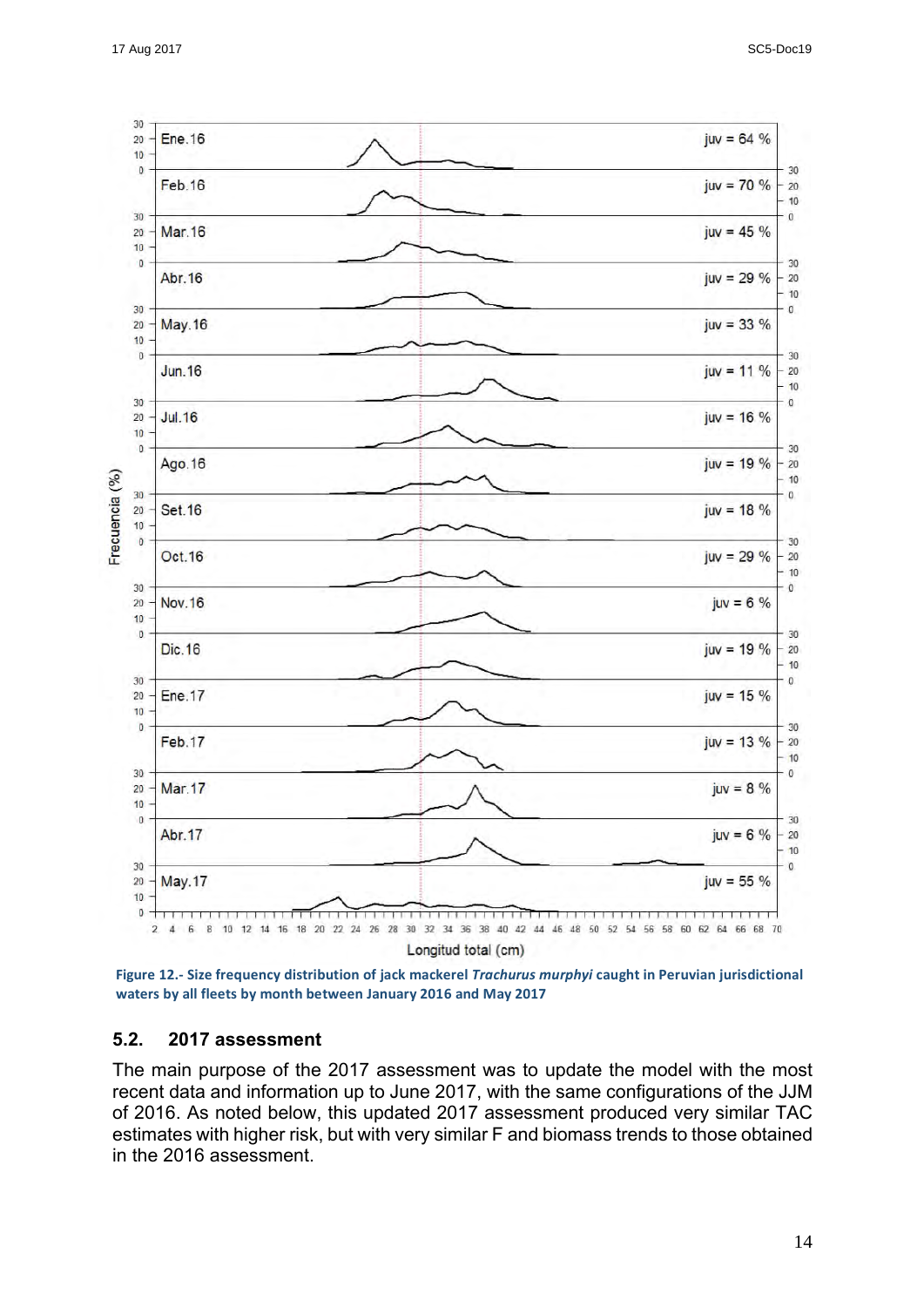

Figure 12.- Size frequency distribution of jack mackerel *Trachurus murphyi* caught in Peruvian jurisdictional waters by all fleets by month between January 2016 and May 2017

#### **5.2. 2017 assessment**

The main purpose of the 2017 assessment was to update the model with the most recent data and information up to June 2017, with the same configurations of the JJM of 2016. As noted below, this updated 2017 assessment produced very similar TAC estimates with higher risk, but with very similar F and biomass trends to those obtained in the 2016 assessment.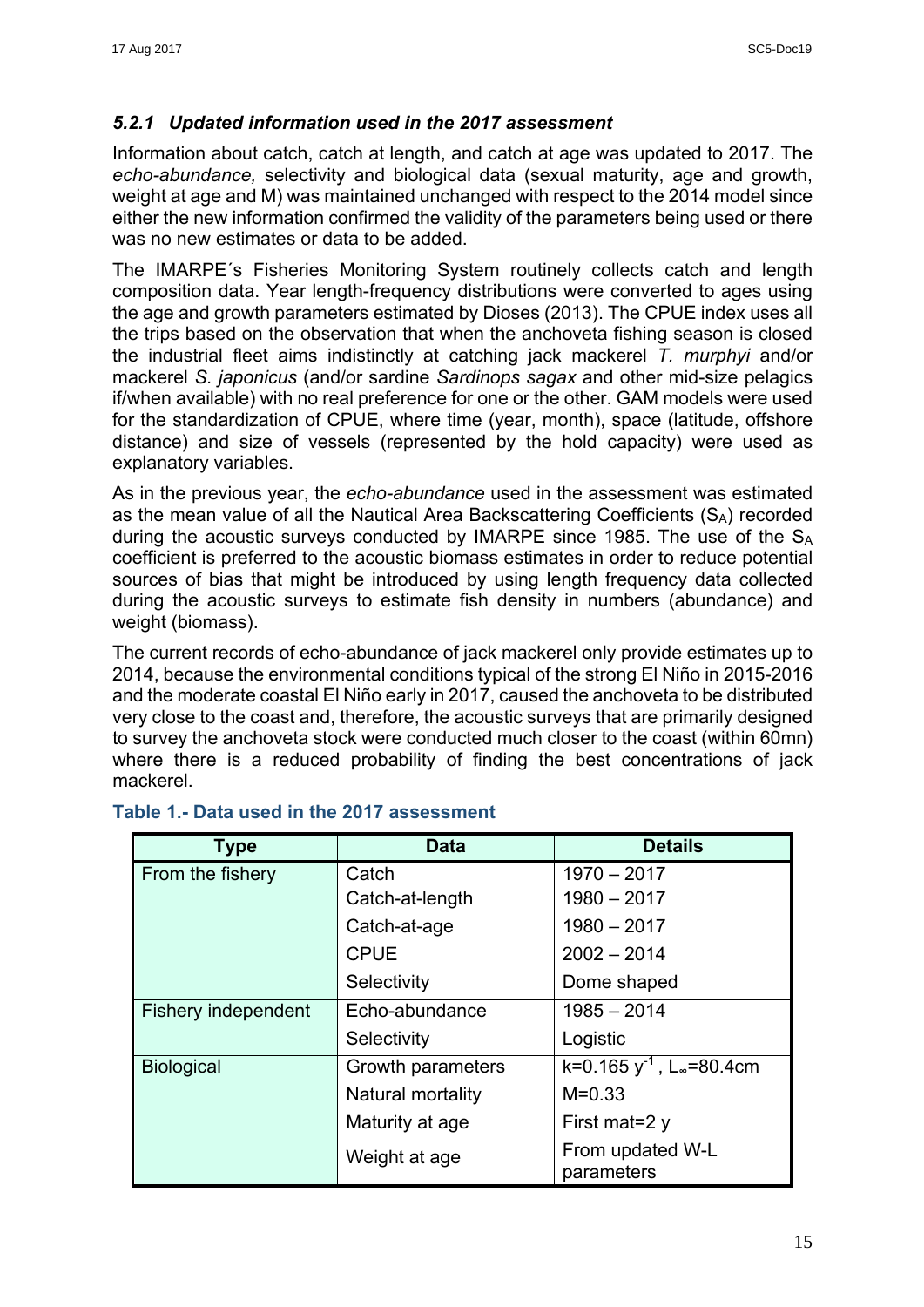## *5.2.1 Updated information used in the 2017 assessment*

Information about catch, catch at length, and catch at age was updated to 2017. The *echo-abundance,* selectivity and biological data (sexual maturity, age and growth, weight at age and M) was maintained unchanged with respect to the 2014 model since either the new information confirmed the validity of the parameters being used or there was no new estimates or data to be added.

The IMARPE´s Fisheries Monitoring System routinely collects catch and length composition data. Year length-frequency distributions were converted to ages using the age and growth parameters estimated by Dioses (2013). The CPUE index uses all the trips based on the observation that when the anchoveta fishing season is closed the industrial fleet aims indistinctly at catching jack mackerel *T. murphyi* and/or mackerel *S. japonicus* (and/or sardine *Sardinops sagax* and other mid-size pelagics if/when available) with no real preference for one or the other. GAM models were used for the standardization of CPUE, where time (year, month), space (latitude, offshore distance) and size of vessels (represented by the hold capacity) were used as explanatory variables.

As in the previous year, the *echo-abundance* used in the assessment was estimated as the mean value of all the Nautical Area Backscattering Coefficients  $(S_A)$  recorded during the acoustic surveys conducted by IMARPE since 1985. The use of the  $S_A$ coefficient is preferred to the acoustic biomass estimates in order to reduce potential sources of bias that might be introduced by using length frequency data collected during the acoustic surveys to estimate fish density in numbers (abundance) and weight (biomass).

The current records of echo-abundance of jack mackerel only provide estimates up to 2014, because the environmental conditions typical of the strong El Niño in 2015-2016 and the moderate coastal El Niño early in 2017, caused the anchoveta to be distributed very close to the coast and, therefore, the acoustic surveys that are primarily designed to survey the anchoveta stock were conducted much closer to the coast (within 60mn) where there is a reduced probability of finding the best concentrations of jack mackerel.

| <b>Type</b>         | <b>Data</b>       | <b>Details</b>                            |
|---------------------|-------------------|-------------------------------------------|
| From the fishery    | Catch             | $1970 - 2017$                             |
|                     | Catch-at-length   | $1980 - 2017$                             |
|                     | Catch-at-age      | $1980 - 2017$                             |
|                     | <b>CPUE</b>       | $2002 - 2014$                             |
|                     | Selectivity       | Dome shaped                               |
| Fishery independent | Echo-abundance    | $1985 - 2014$                             |
|                     | Selectivity       | Logistic                                  |
| <b>Biological</b>   | Growth parameters | k=0.165 $y^{-1}$ , L <sub>∞</sub> =80.4cm |
|                     | Natural mortality | $M = 0.33$                                |
|                     | Maturity at age   | First mat=2 $y$                           |
|                     | Weight at age     | From updated W-L<br>parameters            |

## **Table 1.- Data used in the 2017 assessment**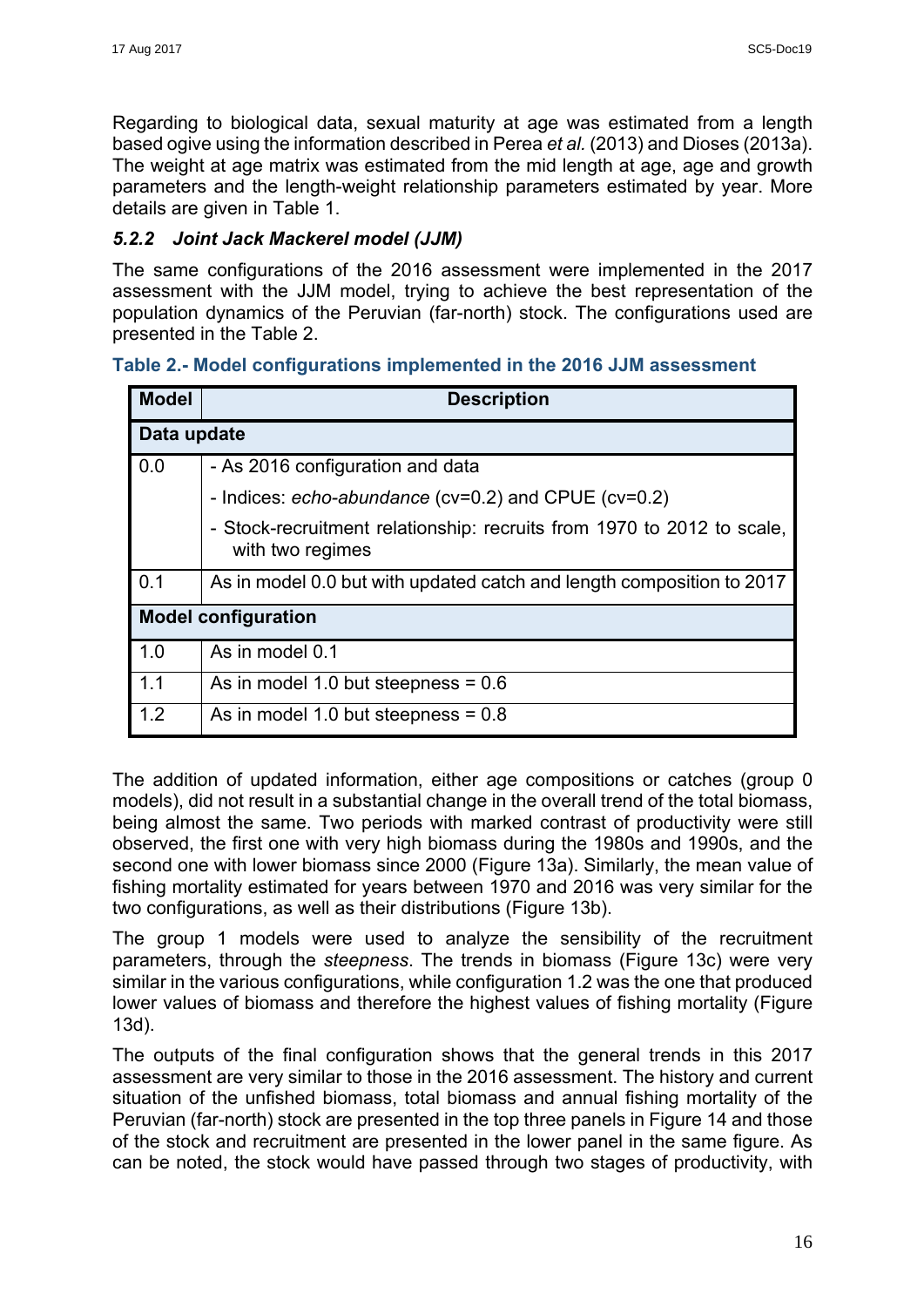Regarding to biological data, sexual maturity at age was estimated from a length based ogive using the information described in Perea *et al.* (2013) and Dioses (2013a). The weight at age matrix was estimated from the mid length at age, age and growth parameters and the length-weight relationship parameters estimated by year. More details are given in Table 1.

## *5.2.2 Joint Jack Mackerel model (JJM)*

The same configurations of the 2016 assessment were implemented in the 2017 assessment with the JJM model, trying to achieve the best representation of the population dynamics of the Peruvian (far-north) stock. The configurations used are presented in the Table 2.

**Table 2.- Model configurations implemented in the 2016 JJM assessment** 

| <b>Model</b>               | <b>Description</b>                                                                         |  |  |
|----------------------------|--------------------------------------------------------------------------------------------|--|--|
| Data update                |                                                                                            |  |  |
| 0.0                        | - As 2016 configuration and data                                                           |  |  |
|                            | - Indices: echo-abundance (cv=0.2) and CPUE (cv=0.2)                                       |  |  |
|                            | - Stock-recruitment relationship: recruits from 1970 to 2012 to scale,<br>with two regimes |  |  |
| 0.1                        | As in model 0.0 but with updated catch and length composition to 2017                      |  |  |
| <b>Model configuration</b> |                                                                                            |  |  |
| 1.0                        | As in model 0.1                                                                            |  |  |
| 1.1                        | As in model 1.0 but steepness = $0.6$                                                      |  |  |
| 1.2                        | As in model 1.0 but steepness = $0.8$                                                      |  |  |

The addition of updated information, either age compositions or catches (group 0 models), did not result in a substantial change in the overall trend of the total biomass, being almost the same. Two periods with marked contrast of productivity were still observed, the first one with very high biomass during the 1980s and 1990s, and the second one with lower biomass since 2000 (Figure 13a). Similarly, the mean value of fishing mortality estimated for years between 1970 and 2016 was very similar for the two configurations, as well as their distributions (Figure 13b).

The group 1 models were used to analyze the sensibility of the recruitment parameters, through the *steepness*. The trends in biomass (Figure 13c) were very similar in the various configurations, while configuration 1.2 was the one that produced lower values of biomass and therefore the highest values of fishing mortality (Figure 13d).

The outputs of the final configuration shows that the general trends in this 2017 assessment are very similar to those in the 2016 assessment. The history and current situation of the unfished biomass, total biomass and annual fishing mortality of the Peruvian (far-north) stock are presented in the top three panels in Figure 14 and those of the stock and recruitment are presented in the lower panel in the same figure. As can be noted, the stock would have passed through two stages of productivity, with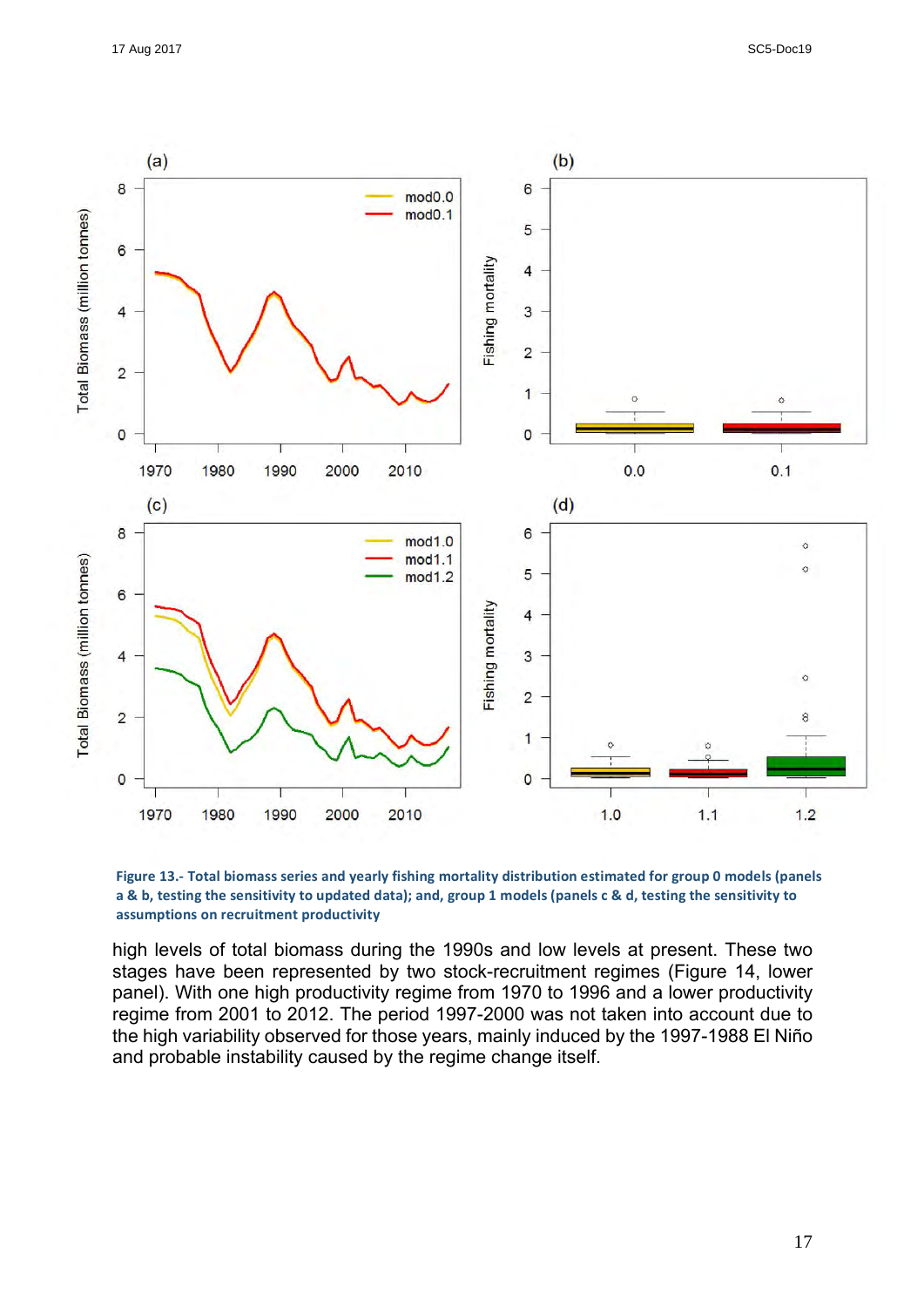



high levels of total biomass during the 1990s and low levels at present. These two stages have been represented by two stock-recruitment regimes (Figure 14, lower panel). With one high productivity regime from 1970 to 1996 and a lower productivity regime from 2001 to 2012. The period 1997-2000 was not taken into account due to the high variability observed for those years, mainly induced by the 1997-1988 El Niño and probable instability caused by the regime change itself.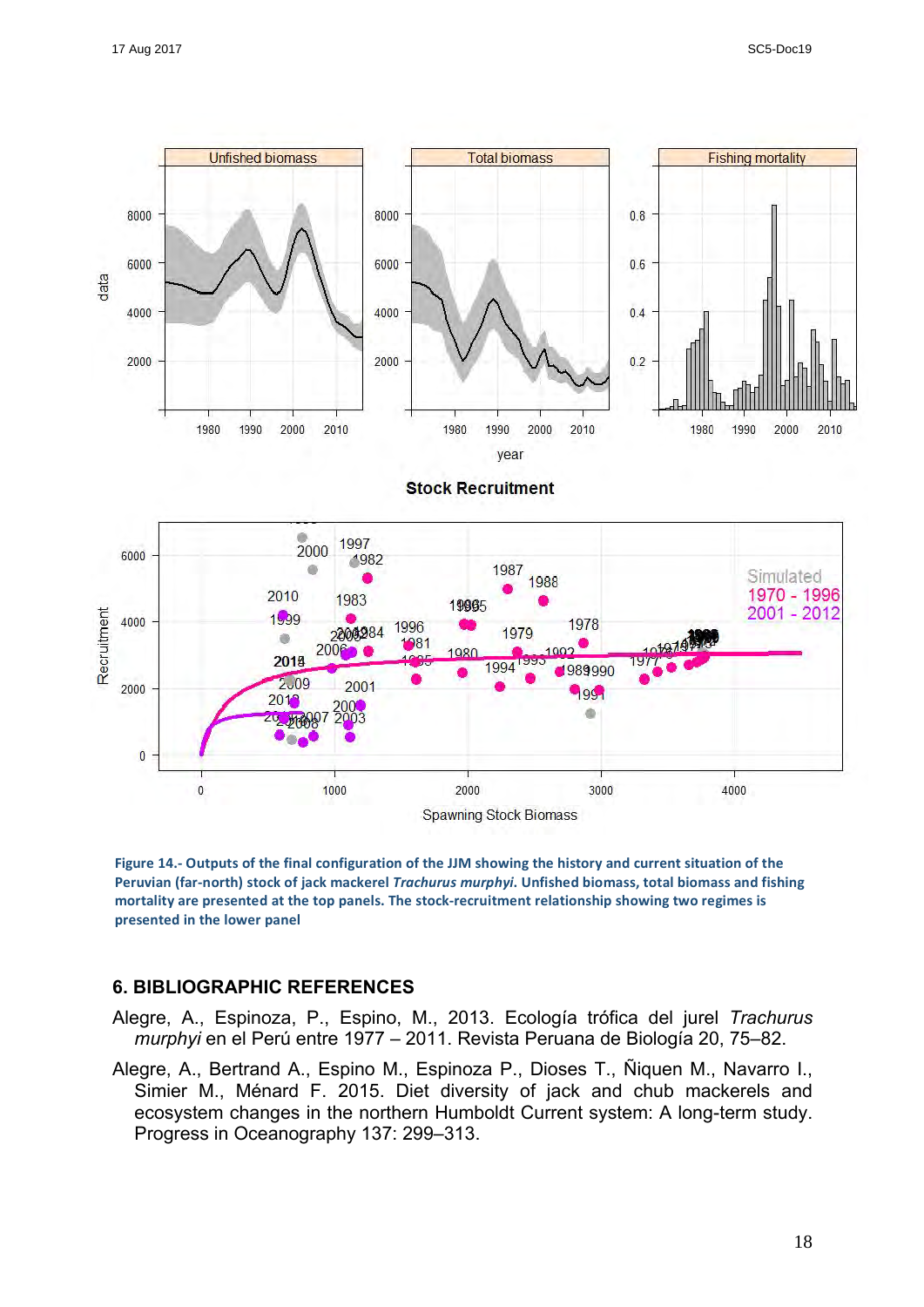

Figure 14.- Outputs of the final configuration of the JJM showing the history and current situation of the Peruvian (far-north) stock of jack mackerel *Trachurus murphyi*. Unfished biomass, total biomass and fishing mortality are presented at the top panels. The stock-recruitment relationship showing two regimes is **presented in the lower panel** 

#### **6. BIBLIOGRAPHIC REFERENCES**

- Alegre, A., Espinoza, P., Espino, M., 2013. Ecología trófica del jurel *Trachurus murphyi* en el Perú entre 1977 – 2011. Revista Peruana de Biología 20, 75–82.
- Alegre, A., Bertrand A., Espino M., Espinoza P., Dioses T., Ñiquen M., Navarro I., Simier M., Ménard F. 2015. Diet diversity of jack and chub mackerels and ecosystem changes in the northern Humboldt Current system: A long-term study. Progress in Oceanography 137: 299–313.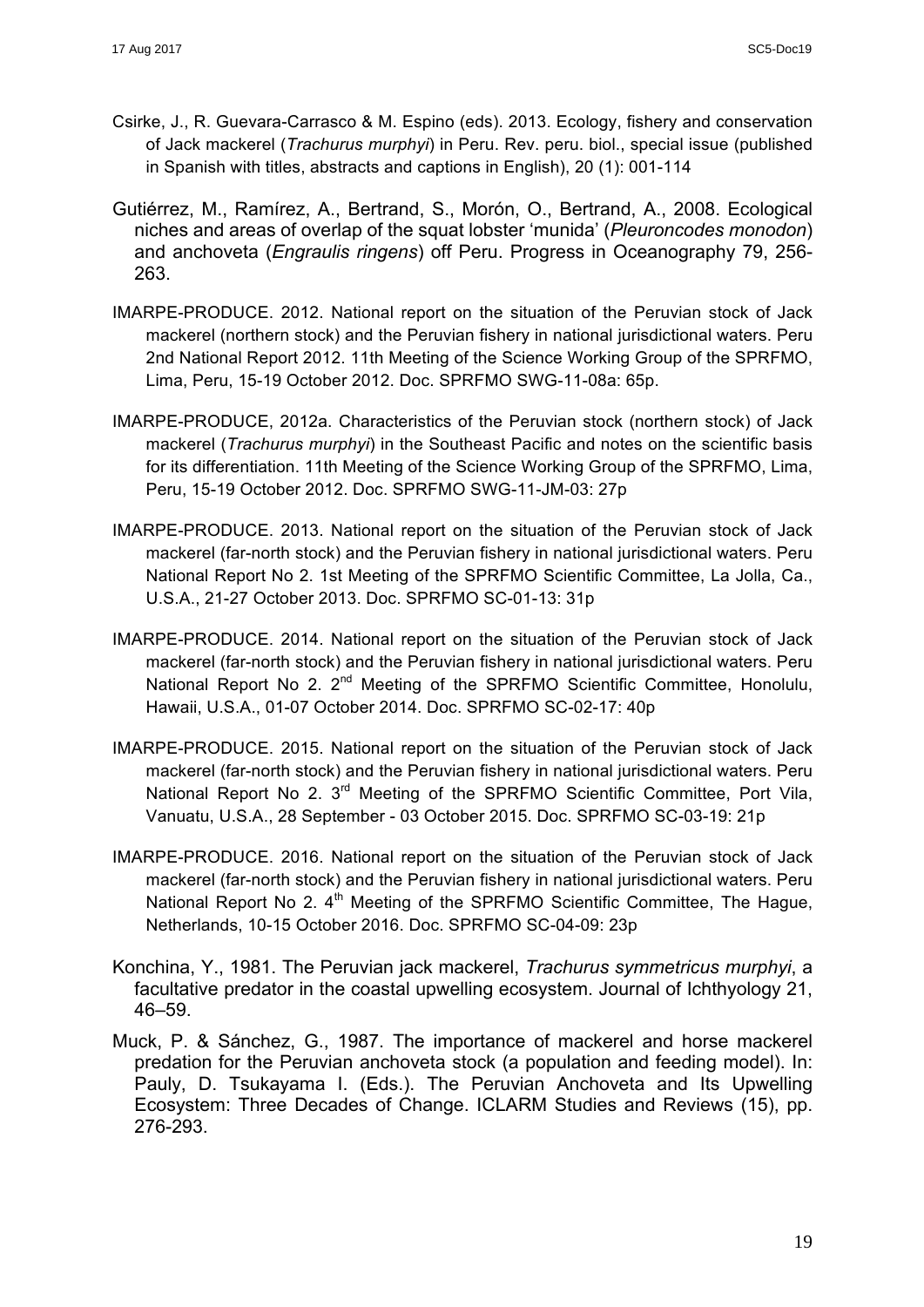- Csirke, J., R. Guevara-Carrasco & M. Espino (eds). 2013. Ecology, fishery and conservation of Jack mackerel (*Trachurus murphyi*) in Peru. Rev. peru. biol., special issue (published in Spanish with titles, abstracts and captions in English), 20 (1): 001-114
- Gutiérrez, M., Ramírez, A., Bertrand, S., Morón, O., Bertrand, A., 2008. Ecological niches and areas of overlap of the squat lobster 'munida' (*Pleuroncodes monodon*) and anchoveta (*Engraulis ringens*) off Peru. Progress in Oceanography 79, 256- 263.
- IMARPE-PRODUCE. 2012. National report on the situation of the Peruvian stock of Jack mackerel (northern stock) and the Peruvian fishery in national jurisdictional waters. Peru 2nd National Report 2012. 11th Meeting of the Science Working Group of the SPRFMO, Lima, Peru, 15-19 October 2012. Doc. SPRFMO SWG-11-08a: 65p.
- IMARPE-PRODUCE, 2012a. Characteristics of the Peruvian stock (northern stock) of Jack mackerel (*Trachurus murphyi*) in the Southeast Pacific and notes on the scientific basis for its differentiation. 11th Meeting of the Science Working Group of the SPRFMO, Lima, Peru, 15-19 October 2012. Doc. SPRFMO SWG-11-JM-03: 27p
- IMARPE-PRODUCE. 2013. National report on the situation of the Peruvian stock of Jack mackerel (far-north stock) and the Peruvian fishery in national jurisdictional waters. Peru National Report No 2. 1st Meeting of the SPRFMO Scientific Committee, La Jolla, Ca., U.S.A., 21-27 October 2013. Doc. SPRFMO SC-01-13: 31p
- IMARPE-PRODUCE. 2014. National report on the situation of the Peruvian stock of Jack mackerel (far-north stock) and the Peruvian fishery in national jurisdictional waters. Peru National Report No 2. 2<sup>nd</sup> Meeting of the SPRFMO Scientific Committee, Honolulu, Hawaii, U.S.A., 01-07 October 2014. Doc. SPRFMO SC-02-17: 40p
- IMARPE-PRODUCE. 2015. National report on the situation of the Peruvian stock of Jack mackerel (far-north stock) and the Peruvian fishery in national jurisdictional waters. Peru National Report No 2. 3<sup>rd</sup> Meeting of the SPRFMO Scientific Committee, Port Vila, Vanuatu, U.S.A., 28 September - 03 October 2015. Doc. SPRFMO SC-03-19: 21p
- IMARPE-PRODUCE. 2016. National report on the situation of the Peruvian stock of Jack mackerel (far-north stock) and the Peruvian fishery in national jurisdictional waters. Peru National Report No 2. 4<sup>th</sup> Meeting of the SPRFMO Scientific Committee, The Hague, Netherlands, 10-15 October 2016. Doc. SPRFMO SC-04-09: 23p
- Konchina, Y., 1981. The Peruvian jack mackerel, *Trachurus symmetricus murphyi*, a facultative predator in the coastal upwelling ecosystem. Journal of Ichthyology 21, 46–59.
- Muck, P. & Sánchez, G., 1987. The importance of mackerel and horse mackerel predation for the Peruvian anchoveta stock (a population and feeding model). In: Pauly, D. Tsukayama I. (Eds.). The Peruvian Anchoveta and Its Upwelling Ecosystem: Three Decades of Change. ICLARM Studies and Reviews (15), pp. 276-293.